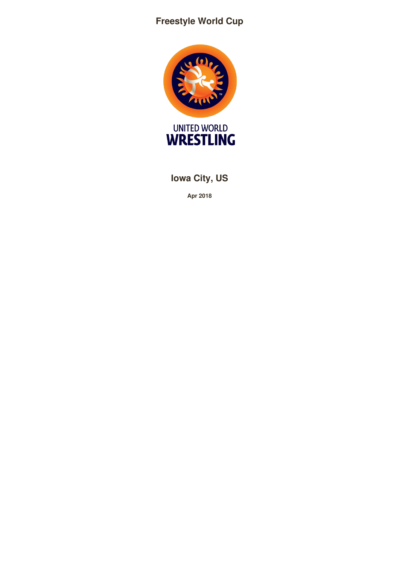# **Freestyle World Cup**



**Iowa City, US**

**Apr 2018**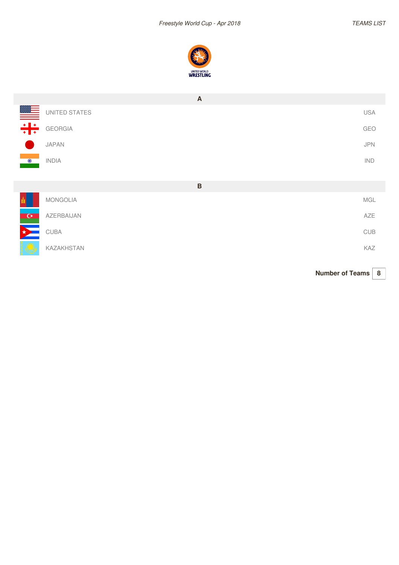

|                                                                                                                                                                                                                                                                                                                                                                                                                                                                                | $\mathsf{A}$      |                             |
|--------------------------------------------------------------------------------------------------------------------------------------------------------------------------------------------------------------------------------------------------------------------------------------------------------------------------------------------------------------------------------------------------------------------------------------------------------------------------------|-------------------|-----------------------------|
| $\begin{array}{c c c c} \hline \multicolumn{3}{r}{\textbf{1}} & \multicolumn{3}{r}{\textbf{1}} \\ \hline \multicolumn{3}{r}{\textbf{2}} & \multicolumn{3}{r}{\textbf{3}} \\ \hline \multicolumn{3}{r}{\textbf{3}} & \multicolumn{3}{r}{\textbf{4}} \\ \hline \multicolumn{3}{r}{\textbf{4}} & \multicolumn{3}{r}{\textbf{5}} \\ \hline \multicolumn{3}{r}{\textbf{4}} & \multicolumn{3}{r}{\textbf{6}} \\ \hline \multicolumn{3}{r}{\textbf{5}} & \multicolumn{3}{r}{\textbf{$ | UNITED STATES     | <b>USA</b>                  |
|                                                                                                                                                                                                                                                                                                                                                                                                                                                                                | <b>GEORGIA</b>    | GEO                         |
|                                                                                                                                                                                                                                                                                                                                                                                                                                                                                | <b>JAPAN</b>      | <b>JPN</b>                  |
|                                                                                                                                                                                                                                                                                                                                                                                                                                                                                | <b>INDIA</b>      | IND                         |
|                                                                                                                                                                                                                                                                                                                                                                                                                                                                                | $\mathsf B$       |                             |
|                                                                                                                                                                                                                                                                                                                                                                                                                                                                                | <b>MONGOLIA</b>   | MGL                         |
| $\mathbf{G}$                                                                                                                                                                                                                                                                                                                                                                                                                                                                   | AZERBAIJAN        | AZE                         |
|                                                                                                                                                                                                                                                                                                                                                                                                                                                                                | CUBA              | $\ensuremath{\mathsf{CUB}}$ |
|                                                                                                                                                                                                                                                                                                                                                                                                                                                                                | <b>KAZAKHSTAN</b> | KAZ                         |

**Number of Teams 8**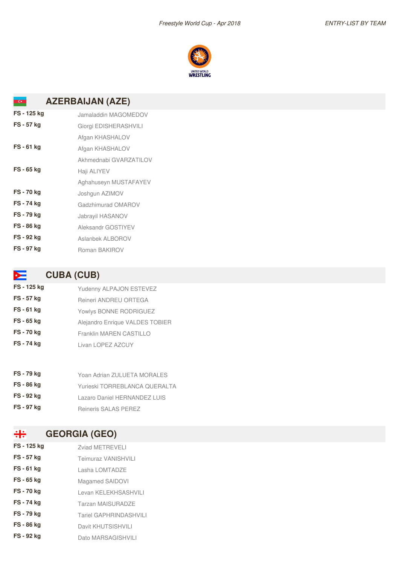

#### **AZERBAIJAN (AZE)**  $\alpha$

| FS - 125 kg       | Jamaladdin MAGOMEDOV   |
|-------------------|------------------------|
| <b>FS - 57 kg</b> | Giorgi EDISHERASHVILI  |
|                   | Afgan KHASHALOV        |
| $FS - 61$ kg      | Afgan KHASHALOV        |
|                   | Akhmednabi GVARZATILOV |
| <b>FS-65 kg</b>   | Haji ALIYEV            |
|                   | Aghahuseyn MUSTAFAYEV  |
| FS-70 kg          | Joshgun AZIMOV         |
| <b>FS-74 kg</b>   | Gadzhimurad OMAROV     |
| FS-79 kg          | Jabrayil HASANOV       |
| FS - 86 kg        | Aleksandr GOSTIYEV     |
| FS - 92 kg        | Aslanbek ALBOROV       |
| <b>FS-97 kg</b>   | Roman BAKIROV          |

### **CUBA (CUB)**

| FS - 125 kg       | Yudenny ALPAJON ESTEVEZ         |
|-------------------|---------------------------------|
| <b>FS - 57 kg</b> | Reineri ANDREU ORTEGA           |
| FS-61 kg          | Yowlys BONNE RODRIGUEZ          |
| FS - 65 kg        | Alejandro Enrique VALDES TOBIER |
| <b>FS-70 kg</b>   | <b>Franklin MAREN CASTILLO</b>  |
| <b>FS-74 kg</b>   | Livan LOPEZ AZCUY               |
|                   |                                 |

- **FS - 79 kg** Yoan Adrian ZULUETA MORALES
- **FS - 86 kg** Yurieski TORREBLANCA QUERALTA
- **FS - 92 kg** Lazaro Daniel HERNANDEZ LUIS
- **FS - 97 kg** Reineris SALAS PEREZ

#### $\div$ **GEORGIA (GEO)**

- **FS - 125 kg** Zviad METREVELI
- **FS** 57 kg Teimuraz VANISHVILI
- **FS - 61 kg** Lasha LOMTADZE
- **FS** 65 kg Magamed SAIDOVI
- **FS - 70 kg** Levan KELEKHSASHVILI
- **FS 74 kg** Tarzan MAISURADZE
- **FS** 79 kg<br>Tariel GAPHRINDASHVILI
- **FS - 86 kg** Davit KHUTSISHVILI
- **FS** 92 kg Dato MARSAGISHVILI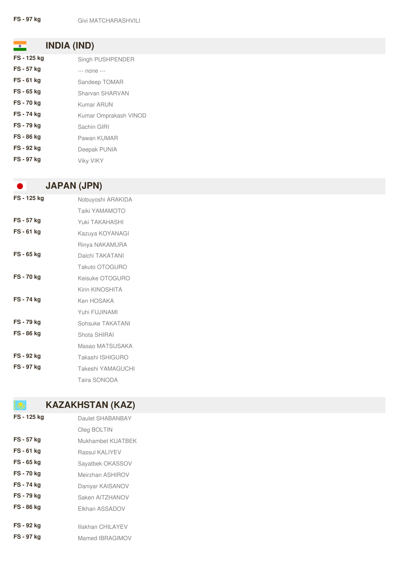**INDIA (IND)**

| FS - 125 kg | Singh PUSHPENDER      |
|-------------|-----------------------|
| FS - 57 kg  | --- none ---          |
| FS - 61 kg  | Sandeep TOMAR         |
| FS - 65 kg  | Sharvan SHARVAN       |
| FS - 70 kg  | <b>Kumar ARUN</b>     |
| FS - 74 kg  | Kumar Omprakash VINOD |
| FS - 79 kg  | Sachin GIRI           |
| FS - 86 kg  | Pawan KUMAR           |
| FS - 92 kg  | Deepak PUNIA          |
| FS - 97 kg  | <b>Viky VIKY</b>      |

# **JAPAN (JPN)**

D

| FS - 125 kg       | Nobuyoshi ARAKIDA     |
|-------------------|-----------------------|
|                   | <b>Taiki YAMAMOTO</b> |
| <b>FS - 57 kg</b> | Yuki TAKAHASHI        |
| $FS - 61$ kg      | Kazuya KOYANAGI       |
|                   | Rinya NAKAMURA        |
| FS - 65 kg        | Daichi TAKATANI       |
|                   | Takuto OTOGURO        |
| <b>FS-70 kg</b>   | Keisuke OTOGURO       |
|                   | Kirin KINOSHITA       |
| <b>FS-74 kg</b>   | Ken HOSAKA            |
|                   | Yuhi FUJINAMI         |
| <b>FS-79 kg</b>   | Sohsuke TAKATANI      |
| FS - 86 kg        | Shota SHIRAI          |
|                   | Masao MATSUSAKA       |
| FS - 92 kg        | Takashi ISHIGURO      |
| <b>FS-97 kg</b>   | Takeshi YAMAGUCHI     |
|                   | Taira SONODA          |

# **KAZAKHSTAN (KAZ)**

| FS - 125 kg       | Daulet SHABANBAY  |
|-------------------|-------------------|
|                   | Oleg BOLTIN       |
| <b>FS - 57 kg</b> | Mukhambet KUATBEK |
| <b>FS-61 kg</b>   | Rassul KALIYEV    |
| FS - 65 kg        | Sayatbek OKASSOV  |
| <b>FS-70 kg</b>   | Meirzhan ASHIROV  |
| FS - 74 kg        | Daniyar KAISANOV  |
| <b>FS-79 kg</b>   | Saken AITZHANOV   |
| <b>FS-86 kg</b>   | Elkhan ASSADOV    |
|                   |                   |
| <b>FS - 92 kg</b> | Iliskhan CHILAYEV |
| <b>FS - 97 kg</b> | Mamed IBRAGIMOV   |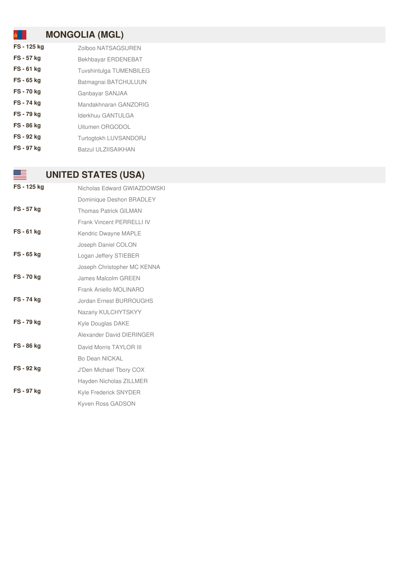# **MONGOLIA (MGL)**

| FS - 125 kg       | Zolboo NATSAGSUREN         |
|-------------------|----------------------------|
| FS - 57 kg        | Bekhbayar ERDENEBAT        |
| FS - 61 kg        | Tuvshintulga TUMENBILEG    |
| FS - 65 kg        | Batmagnai BATCHULUUN       |
| FS - 70 kg        | Ganbayar SANJAA            |
| FS - 74 kg        | Mandakhnaran GANZORIG      |
| <b>FS-79 kg</b>   | Iderkhuu GANTULGA          |
| FS - 86 kg        | Uitumen ORGODOL            |
| FS - 92 kg        | Turtogtokh LUVSANDORJ      |
| <b>FS - 97 kg</b> | <b>Batzul ULZIISAIKHAN</b> |

# **UNITED STATES (USA)**

▓▓▆

| FS - 125 kg       | Nicholas Edward GWIAZDOWSKI      |
|-------------------|----------------------------------|
|                   | Dominique Deshon BRADLEY         |
| <b>FS - 57 kg</b> | <b>Thomas Patrick GILMAN</b>     |
|                   | <b>Frank Vincent PERRELLI IV</b> |
| $FS - 61$ kg      | Kendric Dwayne MAPLE             |
|                   | Joseph Daniel COLON              |
| <b>FS-65 kg</b>   | Logan Jeffery STIEBER            |
|                   | Joseph Christopher MC KENNA      |
| <b>FS-70 kg</b>   | <b>James Malcolm GREEN</b>       |
|                   | Frank Aniello MOLINARO           |
| <b>FS-74 kg</b>   | <b>Jordan Ernest BURROUGHS</b>   |
|                   | Nazariy KULCHYTSKYY              |
| <b>FS-79 kg</b>   | Kyle Douglas DAKE                |
|                   | Alexander David DIERINGER        |
| FS - 86 kg        | David Morris TAYLOR III          |
|                   | Bo Dean NICKAL                   |
| FS - 92 kg        | J'Den Michael Tbory COX          |
|                   | Hayden Nicholas ZILLMER          |
| <b>FS-97 kg</b>   | <b>Kyle Frederick SNYDER</b>     |
|                   | Kyven Ross GADSON                |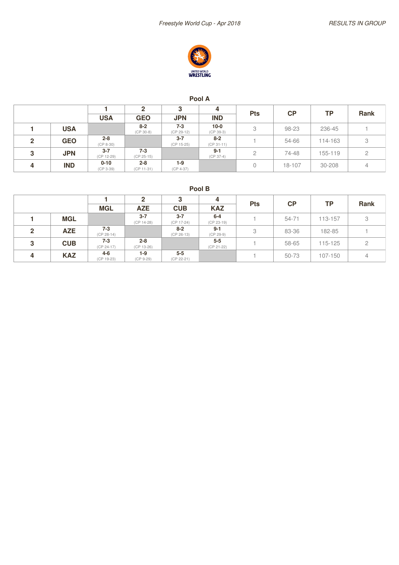

### **Pool A**

|              |            |                        | 2                       |                         | 4                       | <b>Pts</b> | <b>CP</b> | ТP      |      |
|--------------|------------|------------------------|-------------------------|-------------------------|-------------------------|------------|-----------|---------|------|
|              |            | <b>USA</b>             | <b>GEO</b>              | <b>JPN</b>              | <b>IND</b>              |            |           |         | Rank |
|              | <b>USA</b> |                        | $8 - 2$<br>$(CP 30-8)$  | $7 - 3$<br>(CP 29-12)   | $10 - 0$<br>$(CP 39-3)$ | 3          | 98-23     | 236-45  |      |
| $\mathbf{P}$ | <b>GEO</b> | $2 - 8$<br>$(CP 8-30)$ |                         | $3 - 7$<br>$(CP 15-25)$ | $8 - 2$<br>$(CP 31-11)$ |            | 54-66     | 114-163 | 3    |
| 3            | <b>JPN</b> | $3 - 7$<br>(CP 12-29)  | $7 - 3$<br>$(CP 25-15)$ |                         | $9 - 1$<br>$(CP 37-4)$  | 2          | 74-48     | 155-119 |      |
| 4            | <b>IND</b> | $0 - 10$<br>(CP 3-39)  | $2 - 8$<br>$(CP 11-31)$ | $1-9$<br>$(CP 4-37)$    |                         |            | 18-107    | 30-208  | 4    |

|              |            |                         | າ                     |                         | 4                      | <b>Pts</b> | <b>CP</b> | <b>TP</b> | <b>Rank</b> |
|--------------|------------|-------------------------|-----------------------|-------------------------|------------------------|------------|-----------|-----------|-------------|
|              |            | <b>MGL</b>              | <b>AZE</b>            | <b>CUB</b>              | <b>KAZ</b>             |            |           |           |             |
|              | <b>MGL</b> |                         | $3 - 7$<br>(CP 14-28) | $3 - 7$<br>(CP 17-24)   | $6 - 4$<br>(CP 23-19)  |            | $54 - 71$ | 113-157   | 3           |
| $\mathbf{2}$ | <b>AZE</b> | $7 - 3$<br>$(CP 28-14)$ |                       | $8 - 2$<br>$(CP 26-13)$ | $9 - 1$<br>$(CP 29-9)$ | 3          | 83-36     | 182-85    |             |
| 3            | <b>CUB</b> | $7 - 3$<br>$(CP 24-17)$ | $2 - 8$<br>(CP 13-26) |                         | $5 - 5$<br>(CP 21-22)  |            | 58-65     | 115-125   |             |
| 4            | <b>KAZ</b> | $4 - 6$<br>(CP 19-23)   | $1-9$<br>$(CP 9-29)$  | $5-5$<br>(CP 22-21)     |                        |            | 50-73     | 107-150   | 4           |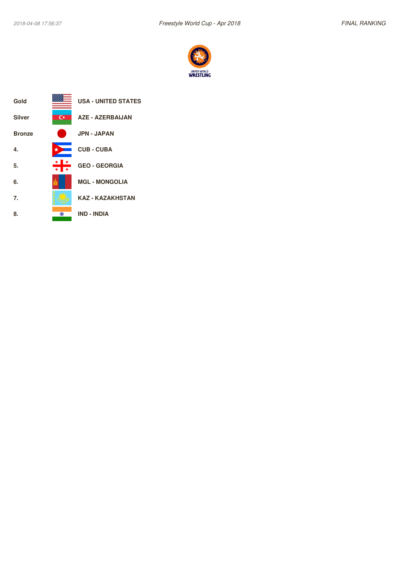

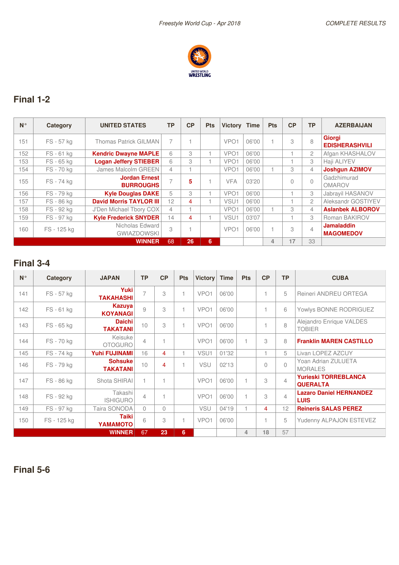

### **Final 1-2**

| $N^{\circ}$ | Category    | <b>UNITED STATES</b>                     | <b>TP</b> | CP | <b>Pts</b> | <b>Victory</b>   | <b>Time</b> | <b>Pts</b> | CP | <b>TP</b>             | <b>AZERBAIJAN</b>                      |
|-------------|-------------|------------------------------------------|-----------|----|------------|------------------|-------------|------------|----|-----------------------|----------------------------------------|
| 151         | FS - 57 kg  | Thomas Patrick GILMAN                    | 7         |    |            | VPO <sub>1</sub> | 06'00       |            | 3  | 8                     | <b>Giorgi</b><br><b>EDISHERASHVILI</b> |
| 152         | FS-61 kg    | <b>Kendric Dwayne MAPLE</b>              | 6         | 3  |            | VPO <sub>1</sub> | 06'00       |            |    | $\mathbf{2}^{\prime}$ | Afgan KHASHALOV                        |
| 153         | FS - 65 kg  | <b>Logan Jeffery STIEBER</b>             | 6         | 3  |            | VPO <sub>1</sub> | 06'00       |            |    | 3                     | Haji ALIYEV                            |
| 154         | FS-70 kg    | James Malcolm GREEN                      | 4         |    |            | VPO <sub>1</sub> | 06'00       |            | 3  | 4                     | <b>Joshgun AZIMOV</b>                  |
| 155         | FS - 74 kg  | <b>Jordan Ernest</b><br><b>BURROUGHS</b> |           | 5  |            | <b>VFA</b>       | 03'20       |            | 0  | $\cap$                | Gadzhimurad<br><b>OMAROV</b>           |
| 156         | FS-79 kg    | <b>Kyle Douglas DAKE</b>                 | 5         | 3  |            | VPO <sub>1</sub> | 06'00       |            |    | 3                     | Jabrayil HASANOV                       |
| 57          | FS-86 kg    | <b>David Morris TAYLOR III</b>           | 12        | 4  |            | VSU1             | 06'00       |            |    | $\overline{c}$        | Aleksandr GOSTIYEV                     |
| 158         | FS - 92 kg  | J'Den Michael Tbory COX                  | 4         |    |            | VPO <sub>1</sub> | 06'00       |            | 3  | $\overline{4}$        | <b>Aslanbek ALBOROV</b>                |
| 159         | FS - 97 kg  | <b>Kyle Frederick SNYDER</b>             | 14        | 4  |            | VSU1             | 03'07       |            |    | 3                     | Roman BAKIROV                          |
| 160         | FS - 125 kg | Nicholas Edward<br><b>GWIAZDOWSKI</b>    | 3         |    |            | VPO <sub>1</sub> | 06'00       |            | 3  | $\overline{4}$        | <b>Jamaladdin</b><br><b>MAGOMEDOV</b>  |
|             |             | <b>WINNER</b>                            | 68        | 26 | 6          |                  |             | 4          | 17 | 33                    |                                        |

## **Final 3-4**

| $N^{\circ}$ | Category    | <b>JAPAN</b>                      | <b>TP</b>      | CP                       | <b>Pts</b> | <b>Victory</b>   | <b>Time</b> | <b>Pts</b> | CP             | <b>TP</b>      | <b>CUBA</b>                                    |
|-------------|-------------|-----------------------------------|----------------|--------------------------|------------|------------------|-------------|------------|----------------|----------------|------------------------------------------------|
| 141         | FS - 57 kg  | <b>Yuki</b><br><b>TAKAHASHI</b>   | 7              | 3                        | 1          | VPO <sub>1</sub> | 06'00       |            | 1              | 5              | Reineri ANDREU ORTEGA                          |
| 142         | FS-61 kg    | Kazuya<br><b>KOYANAGI</b>         | 9              | 3                        | 1          | VPO <sub>1</sub> | 06'00       |            | 1              | 6              | Yowlys BONNE RODRIGUEZ                         |
| 143         | FS - 65 kg  | <b>Daichi</b><br><b>TAKATANI</b>  | 10             | 3                        | 1          | VPO <sub>1</sub> | 06'00       |            | 1              | $\beta$        | Alejandro Enrique VALDES<br><b>TOBIER</b>      |
| 144         | FS-70 kg    | Keisuke<br><b>OTOGURO</b>         | $\overline{4}$ | 1                        |            | VPO <sub>1</sub> | 06'00       |            | 3              | 8              | <b>Franklin MAREN CASTILLO</b>                 |
| 145         | FS-74 kg    | <b>Yuhi FUJINAMI</b>              | 16             | $\overline{4}$           | 1          | VSU1             | 01'32       |            | 1              | 5              | Livan LOPEZ AZCUY                              |
| 146         | FS - 79 kg  | <b>Sohsuke</b><br><b>TAKATANI</b> | 10             | 4                        | 1          | <b>VSU</b>       | 02'13       |            | $\bigcap$      | $\Omega$       | Yoan Adrian ZULUETA<br><b>MORALES</b>          |
| 147         | FS - 86 kg  | Shota SHIRAI                      | 1              |                          |            | VPO <sub>1</sub> | 06'00       | 1          | 3              | $\overline{4}$ | <b>Yurieski TORREBLANCA</b><br><b>QUERALTA</b> |
| 148         | FS - 92 kg  | Takashi<br><b>ISHIGURO</b>        | $\overline{4}$ | $\overline{\phantom{a}}$ |            | VPO <sub>1</sub> | 06'00       | 1          | 3              | $\overline{4}$ | <b>Lazaro Daniel HERNANDEZ</b><br><b>LUIS</b>  |
| 149         | FS-97 kg    | Taira SONODA                      | $\Omega$       | $\Omega$                 |            | <b>VSU</b>       | 04'19       | 1          | $\overline{4}$ | 12             | <b>Reineris SALAS PEREZ</b>                    |
| 150         | FS - 125 kg | <b>Taiki</b><br>YAMAMOTO          | 6              | 3                        | 1          | VPO <sub>1</sub> | 06'00       |            | 1              | 5              | Yudenny ALPAJON ESTEVEZ                        |
|             |             | <b>WINNER</b>                     | 67             | 23                       | 6          |                  |             | 4          | 18             | 57             |                                                |

**Final 5-6**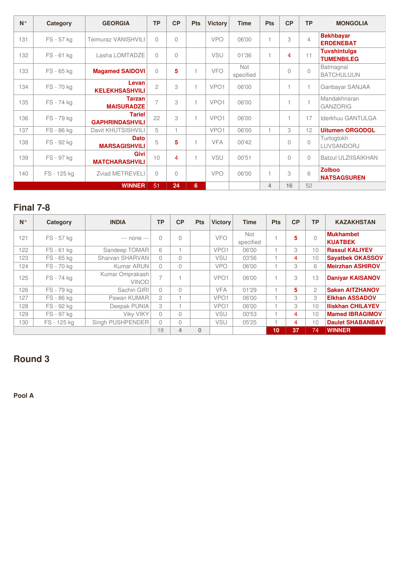| $N^{\circ}$ | Category    | <b>GEORGIA</b>                          | <b>TP</b>      | CP       | <b>Pts</b>     | <b>Victory</b>   | <b>Time</b>             | <b>Pts</b>     | CP        | <b>TP</b>      | <b>MONGOLIA</b>                          |
|-------------|-------------|-----------------------------------------|----------------|----------|----------------|------------------|-------------------------|----------------|-----------|----------------|------------------------------------------|
| 131         | FS - 57 kg  | <b>Teimuraz VANISHVILI</b>              | $\Omega$       | $\Omega$ |                | <b>VPO</b>       | 06'00                   | $\overline{1}$ | 3         | $\overline{4}$ | <b>Bekhbayar</b><br><b>ERDENEBAT</b>     |
| 132         | FS-61 kg    | Lasha LOMTADZE                          | $\bigcap$      | $\Omega$ |                | VSU              | 01'36                   | 1              | 4         | 11             | <b>Tuvshintulga</b><br><b>TUMENBILEG</b> |
| 133         | FS - 65 kg  | <b>Magamed SAIDOVI</b>                  | $\Omega$       | 5        | $\overline{1}$ | <b>VFO</b>       | <b>Not</b><br>specified |                | $\bigcap$ | $\bigcap$      | Batmagnai<br><b>BATCHULUUN</b>           |
| 134         | FS-70 kg    | Levan<br><b>KELEKHSASHVILI</b>          | $\overline{c}$ | 3        | $\overline{1}$ | VPO <sub>1</sub> | 06'00                   |                |           | 1              | Ganbayar SANJAA                          |
| 135         | FS-74 kg    | <b>Tarzan</b><br><b>MAISURADZE</b>      | $\overline{7}$ | 3        |                | VPO <sub>1</sub> | 06'00                   |                |           | $\overline{1}$ | Mandakhnaran<br><b>GANZORIG</b>          |
| 136         | FS-79 kg    | <b>Tariel</b><br><b>GAPHRINDASHVILI</b> | 22             | 3        | $\mathbf{1}$   | VPO <sub>1</sub> | 06'00                   |                |           | 17             | Iderkhuu GANTULGA                        |
| 137         | FS-86 kg    | Davit KHUTSISHVILI                      | 5              |          |                | VPO <sub>1</sub> | 06'00                   |                | 3         | 12             | <b>Uitumen ORGODOL</b>                   |
| 138         | FS - 92 kg  | <b>Dato</b><br><b>MARSAGISHVILI</b>     | 5              | 5        |                | <b>VFA</b>       | 00'42                   |                | $\Omega$  | $\bigcap$      | Turtogtokh<br>LUVSANDORJ                 |
| 139         | FS - 97 kg  | <b>Givi</b><br><b>MATCHARASHVILI</b>    | 10             | 4        |                | <b>VSU</b>       | 00'51                   |                | $\Omega$  | $\bigcap$      | <b>Batzul ULZIISAIKHAN</b>               |
| 140         | FS - 125 kg | <b>Zviad METREVELI</b>                  | $\Omega$       | $\Omega$ |                | <b>VPO</b>       | 06'00                   | $\overline{1}$ | 3         | 6              | <b>Zolboo</b><br><b>NATSAGSUREN</b>      |
|             |             | <b>WINNER</b>                           | 51             | 24       | 6              |                  |                         | 4              | 16        | 52             |                                          |

### **Final 7-8**

| $N^{\circ}$ | Category    | <b>INDIA</b>                    | ТP                       | CP        | <b>Pts</b>   | <b>Victory</b>   | <b>Time</b>             | <b>Pts</b> | CP | <b>TP</b>      | <b>KAZAKHSTAN</b>                  |
|-------------|-------------|---------------------------------|--------------------------|-----------|--------------|------------------|-------------------------|------------|----|----------------|------------------------------------|
| 121         | FS - 57 kg  | --- none ---                    | $\Omega$                 | $\Omega$  |              | <b>VFO</b>       | <b>Not</b><br>specified |            | 5  | $\cap$         | <b>Mukhambet</b><br><b>KUATBEK</b> |
| 122         | FS-61 kg    | Sandeep TOMAR                   | 6                        |           |              | VPO <sub>1</sub> | 06'00                   |            | 3  | 10             | <b>Rassul KALIYEV</b>              |
| 123         | FS - 65 kg  | Sharvan SHARVAN                 | $\Omega$                 | 0         |              | VSU              | 03'56                   |            | 4  | 10             | <b>Savatbek OKASSOV</b>            |
| 124         | FS-70 kg    | Kumar ARUN                      | $\Omega$                 | $\Omega$  |              | <b>VPO</b>       | 06'00                   |            | 3  | 6              | <b>Meirzhan ASHIROV</b>            |
| 125         | FS - 74 kg  | Kumar Omprakash<br><b>VINOD</b> | $\overline{\phantom{0}}$ |           |              | VPO <sub>1</sub> | 06'00                   |            | 3  | 13             | <b>Danivar KAISANOV</b>            |
| 126         | FS - 79 kg  | Sachin GIRI                     | $\Omega$                 | $\bigcap$ |              | <b>VFA</b>       | 01'29                   |            | 5  | $\overline{c}$ | <b>Saken AITZHANOV</b>             |
| 127         | FS - 86 kg  | Pawan KUMAR                     | $\mathfrak{D}$           |           |              | VPO <sub>1</sub> | 06'00                   |            | 3  | 3              | <b>Elkhan ASSADOV</b>              |
| 128         | FS - 92 kg  | Deepak PUNIA                    | 3                        |           |              | VPO <sub>1</sub> | 06'00                   |            | 3  | 10             | <b>Iliskhan CHILAYEV</b>           |
| 129         | FS - 97 kg  | <b>Viky VIKY</b>                | $\Omega$                 | $\bigcap$ |              | <b>VSU</b>       | 00'53                   |            | 4  | 10             | <b>Mamed IBRAGIMOV</b>             |
| 130         | FS - 125 kg | Singh PUSHPENDER                | $\Omega$                 | $\Omega$  |              | <b>VSU</b>       | 05'25                   |            | 4  | 10             | <b>Daulet SHABANBAY</b>            |
|             |             |                                 | 18                       | 4         | $\mathbf{0}$ |                  |                         | 10         | 37 | 74             | <b>WINNER</b>                      |

## **Round 3**

**Pool A**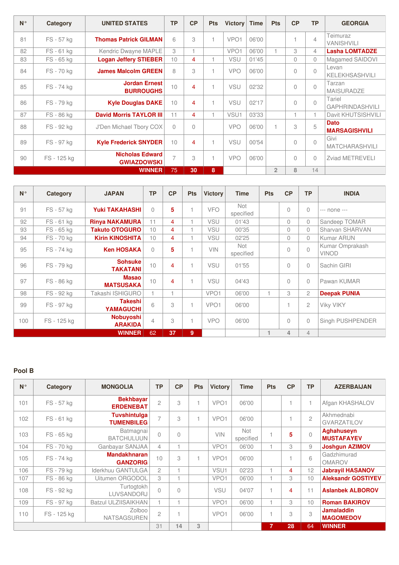| $N^{\circ}$ | Category    | <b>UNITED STATES</b>                         | <b>TP</b>      | CP       | <b>Pts</b>               | <b>Victory</b>   | <b>Time</b> | Pts            | CP             | <b>TP</b>      | <b>GEORGIA</b>                      |
|-------------|-------------|----------------------------------------------|----------------|----------|--------------------------|------------------|-------------|----------------|----------------|----------------|-------------------------------------|
| 81          | FS - 57 kg  | <b>Thomas Patrick GILMAN</b>                 | 6              | 3        | 1                        | VPO <sub>1</sub> | 06'00       |                |                | $\overline{4}$ | Teimuraz<br><b>VANISHVILI</b>       |
| 82          | FS-61 kg    | Kendric Dwayne MAPLE                         | 3              | 1        |                          | VPO <sub>1</sub> | 06'00       |                | 3              | 4              | <b>Lasha LOMTADZE</b>               |
| 83          | FS - 65 kg  | <b>Logan Jeffery STIEBER</b>                 | 10             | 4        | 1                        | <b>VSU</b>       | 01'45       |                | $\Omega$       | $\Omega$       | Magamed SAIDOVI                     |
| 84          | FS-70 kg    | <b>James Malcolm GREEN</b>                   | 8              | 3        | 1                        | <b>VPO</b>       | 06'00       |                | $\Omega$       | $\Omega$       | Levan<br><b>KELEKHSASHVILI</b>      |
| 85          | FS-74 kg    | <b>Jordan Ernest</b><br><b>BURROUGHS</b>     | 10             | 4        | $\mathbf{1}$             | VSU              | 02'32       |                | $\Omega$       | $\Omega$       | Tarzan<br><b>MAISURADZE</b>         |
| 86          | FS-79 kg    | <b>Kyle Douglas DAKE</b>                     | 10             | 4        | 1                        | <b>VSU</b>       | 02'17       |                | $\bigcap$      | $\bigcap$      | Tariel<br><b>GAPHRINDASHVILI</b>    |
| 87          | FS-86 kg    | <b>David Morris TAYLOR III</b>               | 11             | 4        | 1                        | VSU1             | 03'33       |                | $\overline{1}$ |                | Davit KHUTSISHVILI                  |
| 88          | FS - 92 kg  | J'Den Michael Tbory COX                      | $\Omega$       | $\Omega$ |                          | <b>VPO</b>       | 06'00       |                | 3              | 5              | <b>Dato</b><br><b>MARSAGISHVILI</b> |
| 89          | FS - 97 kg  | <b>Kyle Frederick SNYDER</b>                 | 10             | 4        | 1                        | <b>VSU</b>       | 00'54       |                | $\Omega$       | $\Omega$       | Givi<br><b>MATCHARASHVILI</b>       |
| 90          | FS - 125 kg | <b>Nicholas Edward</b><br><b>GWIAZDOWSKI</b> | $\overline{7}$ | 3        | $\overline{\phantom{a}}$ | <b>VPO</b>       | 06'00       |                | $\Omega$       | $\Omega$       | <b>Zviad METREVELI</b>              |
|             |             | <b>WINNER</b>                                | 75             | 30       | 8                        |                  |             | $\overline{2}$ | 8              | 14             |                                     |

| $N^{\circ}$ | Category    | <b>JAPAN</b>                       | <b>TP</b>      | <b>CP</b> | <b>Pts</b> | <b>Victory</b>   | <b>Time</b>             | <b>Pts</b> | CP       | <b>TP</b>      | <b>INDIA</b>                    |
|-------------|-------------|------------------------------------|----------------|-----------|------------|------------------|-------------------------|------------|----------|----------------|---------------------------------|
| 91          | FS - 57 kg  | <b>Yuki TAKAHASHI</b>              | $\Omega$       | 5         |            | <b>VFO</b>       | <b>Not</b><br>specified |            | $\Omega$ | $\Omega$       | --- none ---                    |
| 92          | FS-61 kg    | <b>Rinya NAKAMURA</b>              | 11             | 4         |            | VSU              | 01'43                   |            | $\Omega$ | 0              | Sandeep TOMAR                   |
| 93          | FS - 65 kg  | <b>Takuto OTOGURO</b>              | 10             | 4         |            | <b>VSU</b>       | 00'35                   |            | $\Omega$ | 0              | Sharvan SHARVAN                 |
| 94          | FS-70 kg    | <b>Kirin KINOSHITA</b>             | 10             | 4         |            | VSU              | 02'25                   |            | $\Omega$ | $\Omega$       | <b>Kumar ARUN</b>               |
| 95          | FS-74 kg    | <b>Ken HOSAKA</b>                  | $\Omega$       | 5         |            | <b>VIN</b>       | <b>Not</b><br>specified |            | $\Omega$ | $\overline{0}$ | Kumar Omprakash<br><b>VINOD</b> |
| 96          | FS-79 kg    | <b>Sohsuke</b><br><b>TAKATANI</b>  | 10             | 4         |            | <b>VSU</b>       | 01'55                   |            | $\Omega$ | $\Omega$       | Sachin GIRI                     |
| 97          | FS-86 kg    | <b>Masao</b><br><b>MATSUSAKA</b>   | 10             | 4         |            | <b>VSU</b>       | 04'43                   |            | $\Omega$ | $\Omega$       | Pawan KUMAR                     |
| 98          | FS-92 kg    | Takashi ISHIGURO                   | 1.             |           |            | VPO <sub>1</sub> | 06'00                   | 1          | 3        | $\mathfrak{D}$ | <b>Deepak PUNIA</b>             |
| 99          | FS - 97 kg  | <b>Takeshi</b><br><b>YAMAGUCHI</b> | 6              | 3         |            | VPO <sub>1</sub> | 06'00                   |            |          | $\overline{c}$ | <b>Viky VIKY</b>                |
| 100         | FS - 125 kg | <b>Nobuyoshi</b><br><b>ARAKIDA</b> | $\overline{4}$ | 3         |            | <b>VPO</b>       | 06'00                   |            | $\Omega$ | 0              | Singh PUSHPENDER                |
|             |             | <b>WINNER</b>                      | 62             | 37        | 9          |                  |                         | 4          | 4        | $\overline{4}$ |                                 |

| $N^{\circ}$ | Category    | <b>MONGOLIA</b>                          | <b>TP</b>      | CP        | <b>Pts</b> | <b>Victory</b>   | <b>Time</b>             | <b>Pts</b> | CP | <b>TP</b>      | <b>AZERBAIJAN</b>                      |
|-------------|-------------|------------------------------------------|----------------|-----------|------------|------------------|-------------------------|------------|----|----------------|----------------------------------------|
| 101         | FS - 57 kg  | <b>Bekhbayar</b><br><b>ERDENEBAT</b>     | $\overline{c}$ | 3         |            | VPO <sub>1</sub> | 06'00                   |            |    |                | Afgan KHASHALOV                        |
| 102         | FS-61 kg    | <b>Tuvshintulga</b><br><b>TUMENBILEG</b> | $\overline{7}$ | 3         |            | VPO <sub>1</sub> | 06'00                   |            |    | $\overline{c}$ | Akhmednabi<br><b>GVARZATILOV</b>       |
| 103         | FS - 65 kg  | Batmagnai<br><b>BATCHULUUN</b>           | $\bigcap$      | $\Omega$  |            | <b>VIN</b>       | <b>Not</b><br>specified |            | 5  | $\Omega$       | <b>Aghahuseyn</b><br><b>MUSTAFAYEV</b> |
| 104         | FS-70 kg    | Ganbayar SANJAA                          | $\overline{4}$ |           |            | VPO <sub>1</sub> | 06'00                   |            | 3  | 9              | <b>Joshgun AZIMOV</b>                  |
| 105         | FS - 74 kg  | <b>Mandakhnaran</b><br><b>GANZORIG</b>   | 10             | 3         |            | VPO <sub>1</sub> | 06'00                   |            |    | 6              | Gadzhimurad<br><b>OMAROV</b>           |
| 106         | FS-79 kg    | Iderkhuu GANTULGA                        | $\mathfrak{D}$ |           |            | VSU1             | 02'23                   |            | 4  | 12             | <b>Jabrayil HASANOV</b>                |
| 107         | FS-86 kg    | Uitumen ORGODOL                          | 3              |           |            | VPO <sub>1</sub> | 06'00                   |            | 3  | 10             | <b>Aleksandr GOSTIYEV</b>              |
| 108         | FS - 92 kg  | Turtogtokh<br>LUVSANDORJ                 | $\bigcap$      | $\bigcap$ |            | <b>VSU</b>       | 04'07                   |            | 4  | 11             | <b>Aslanbek ALBOROV</b>                |
| 109         | FS-97 kg    | <b>Batzul ULZIISAIKHAN</b>               | 1              |           |            | VPO <sub>1</sub> | 06'00                   |            | 3  | 10             | <b>Roman BAKIROV</b>                   |
| 110         | FS - 125 kg | Zolboo<br><b>NATSAGSUREN</b>             | $\overline{c}$ |           |            | VPO <sub>1</sub> | 06'00                   |            | 3  | 3              | <b>Jamaladdin</b><br><b>MAGOMEDOV</b>  |
|             |             | 31                                       | 14             | 3         |            |                  | 7                       | 28         | 64 | <b>WINNER</b>  |                                        |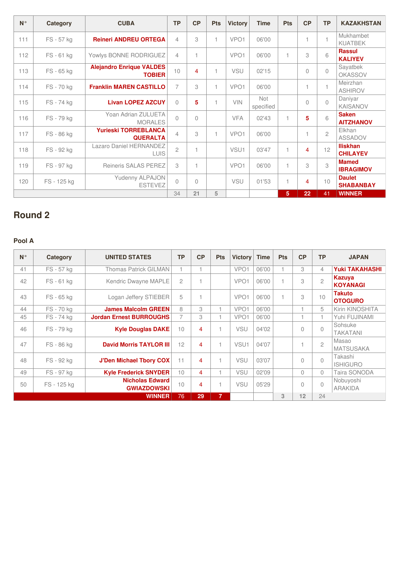| $N^{\circ}$ | Category    | <b>CUBA</b>                                      | <b>TP</b>      | <b>CP</b>      | <b>Pts</b> | <b>Victory</b>   | <b>Time</b>             | <b>Pts</b> | CP       | <b>TP</b>      | <b>KAZAKHSTAN</b>                  |
|-------------|-------------|--------------------------------------------------|----------------|----------------|------------|------------------|-------------------------|------------|----------|----------------|------------------------------------|
| 111         | FS - 57 kg  | <b>Reineri ANDREU ORTEGA</b>                     | $\overline{4}$ | 3              |            | VPO <sub>1</sub> | 06'00                   |            |          | 1              | Mukhambet<br><b>KUATBEK</b>        |
| 112         | FS-61 kg    | Yowlys BONNE RODRIGUEZ                           | 4              | $\overline{1}$ |            | VPO <sub>1</sub> | 06'00                   |            | 3        | 6              | <b>Rassul</b><br><b>KALIYEV</b>    |
| 113         | FS - 65 kg  | <b>Alejandro Enrique VALDES</b><br><b>TOBIER</b> | 10             | 4              |            | <b>VSU</b>       | 02'15                   |            | $\Omega$ | $\bigcap$      | Sayatbek<br><b>OKASSOV</b>         |
| 114         | FS-70 kg    | <b>Franklin MAREN CASTILLO</b>                   | $\overline{7}$ | 3              |            | VPO <sub>1</sub> | 06'00                   |            | 1        | $\mathbf{1}$   | Meirzhan<br><b>ASHIROV</b>         |
| 115         | FS-74 kg    | <b>Livan LOPEZ AZCUY</b>                         | $\Omega$       | 5              |            | <b>VIN</b>       | <b>Not</b><br>specified |            | 0        | $\bigcap$      | Daniyar<br><b>KAISANOV</b>         |
| 116         | FS - 79 kg  | Yoan Adrian ZULUETA<br><b>MORALES</b>            | $\bigcap$      | $\bigcap$      |            | <b>VFA</b>       | 02'43                   |            | 5        | 6              | <b>Saken</b><br><b>AITZHANOV</b>   |
| 117         | FS - 86 kg  | <b>Yurieski TORREBLANCA</b><br><b>QUERALTA</b>   | 4              | 3              |            | VPO <sub>1</sub> | 06'00                   |            |          | $\overline{c}$ | Elkhan<br><b>ASSADOV</b>           |
| 118         | FS - 92 kg  | Lazaro Daniel HERNANDEZ<br><b>LUIS</b>           | $\overline{c}$ | $\overline{1}$ |            | VSU1             | 03'47                   |            | 4        | 12             | <b>Iliskhan</b><br><b>CHILAYEV</b> |
| 119         | FS - 97 kg  | Reineris SALAS PEREZ                             | 3              | $\overline{1}$ |            | VPO <sub>1</sub> | 06'00                   | 1          | 3        | 3              | <b>Mamed</b><br><b>IBRAGIMOV</b>   |
| 120         | FS - 125 kg | Yudenny ALPAJON<br><b>ESTEVEZ</b>                | $\bigcap$      | $\bigcap$      |            | <b>VSU</b>       | 01'53                   |            | 4        | 10             | <b>Daulet</b><br><b>SHABANBAY</b>  |
|             |             |                                                  | 34             | 21             | 5          |                  |                         | 5          | 22       | 41             | <b>WINNER</b>                      |

# **Round 2**

### **Pool A**

| $N^{\circ}$ | Category   | <b>UNITED STATES</b>                         | <b>TP</b>      | CP | <b>Pts</b>   | <b>Victory</b>   | <b>Time</b> | <b>Pts</b> | CP       | <b>TP</b>      | <b>JAPAN</b>                    |
|-------------|------------|----------------------------------------------|----------------|----|--------------|------------------|-------------|------------|----------|----------------|---------------------------------|
| 41          | FS - 57 kg | <b>Thomas Patrick GILMAN</b>                 | 1              |    |              | VPO <sub>1</sub> | 06'00       |            | 3        | $\overline{4}$ | <b>Yuki TAKAHASHI</b>           |
| 42          | FS-61 kg   | Kendric Dwayne MAPLE                         | $\overline{2}$ |    |              | VPO <sub>1</sub> | 06'00       |            | 3        | $\mathfrak{D}$ | Kazuya<br><b>KOYANAGI</b>       |
| 43          | FS - 65 kg | Logan Jeffery STIEBER                        | 5              |    |              | VPO <sub>1</sub> | 06'00       |            | 3        | 10             | <b>Takuto</b><br><b>OTOGURO</b> |
| 44          | FS-70 kg   | <b>James Malcolm GREEN</b>                   | 8              | 3  |              | VPO1             | 06'00       |            |          | 5              | Kirin KINOSHITA                 |
| 45          | FS-74 kg   | <b>Jordan Ernest BURROUGHS</b>               | $\overline{7}$ | 3  |              | VPO <sub>1</sub> | 06'00       |            |          |                | Yuhi FUJINAMI                   |
| 46          | FS - 79 kg | <b>Kyle Douglas DAKE</b>                     | 10             | 4  |              | <b>VSU</b>       | 04'02       |            | $\Omega$ | $\Omega$       | Sohsuke<br><b>TAKATANI</b>      |
| 47          | FS - 86 kg | <b>David Morris TAYLOR III</b>               | 12             | 4  |              | VSU <sub>1</sub> | 04'07       |            |          | $\mathfrak{p}$ | Masao<br><b>MATSUSAKA</b>       |
| 48          | FS - 92 kg | <b>J'Den Michael Tbory COX</b>               | 11             | 4  |              | <b>VSU</b>       | 03'07       |            | 0        | $\Omega$       | Takashi<br><b>ISHIGURO</b>      |
| 49          | FS - 97 kg | <b>Kyle Frederick SNYDER</b>                 | 10             | 4  |              | <b>VSU</b>       | 02'09       |            | 0        | $\Omega$       | Taira SONODA                    |
| 50          | FS-125 kg  | <b>Nicholas Edward</b><br><b>GWIAZDOWSKI</b> | 10             | 4  |              | <b>VSU</b>       | 05'29       |            | $\Omega$ | $\Omega$       | Nobuyoshi<br><b>ARAKIDA</b>     |
|             |            | <b>WINNER</b>                                | 76             | 29 | $\mathbf{7}$ |                  |             | 3          | 12       | 24             |                                 |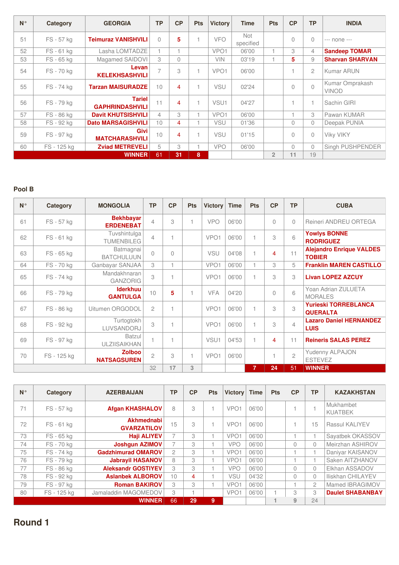| $N^{\circ}$ | Category    | <b>GEORGIA</b>                          | <b>TP</b>      | CP             | <b>Pts</b> | <b>Victory</b>   | <b>Time</b>             | <b>Pts</b>     | CP          | <b>TP</b>      | <b>INDIA</b>                    |
|-------------|-------------|-----------------------------------------|----------------|----------------|------------|------------------|-------------------------|----------------|-------------|----------------|---------------------------------|
| 51          | FS - 57 kg  | <b>Teimuraz VANISHVILI</b>              | $\bigcap$      | 5              |            | <b>VFO</b>       | <b>Not</b><br>specified |                | $\Omega$    | $\Omega$       | --- none ---                    |
| 52          | FS-61 kg    | Lasha LOMTADZE                          | 1              |                |            | VPO <sub>1</sub> | 06'00                   | 1              | 3           | $\overline{4}$ | <b>Sandeep TOMAR</b>            |
| 53          | FS - 65 kg  | Magamed SAIDOVI                         | 3              | $\bigcap$      |            | <b>VIN</b>       | 03'19                   | 1              | 5           | 9              | <b>Sharvan SHARVAN</b>          |
| 54          | FS-70 kg    | Levan<br><b>KELEKHSASHVILI</b>          | $\overline{7}$ | 3              |            | VPO <sub>1</sub> | 06'00                   |                |             | $\mathfrak{p}$ | Kumar ARUN                      |
| 55          | FS - 74 kg  | <b>Tarzan MAISURADZE</b>                | 10             | 4              |            | <b>VSU</b>       | 02'24                   |                | $\mathbf 0$ | $\Omega$       | Kumar Omprakash<br><b>VINOD</b> |
| 56          | FS-79 kg    | <b>Tariel</b><br><b>GAPHRINDASHVILI</b> | 11             | $\overline{4}$ |            | VSU <sub>1</sub> | 04'27                   |                |             | $\overline{4}$ | Sachin GIRI                     |
| 57          | FS-86 kg    | <b>Davit KHUTSISHVILI</b>               | 4              | 3              |            | VPO <sub>1</sub> | 06'00                   |                |             | 3              | Pawan KUMAR                     |
| 58          | FS - 92 kg  | <b>Dato MARSAGISHVILI</b>               | 10             | 4              |            | <b>VSU</b>       | 01'36                   |                | $\Omega$    | $\Omega$       | Deepak PUNIA                    |
| 59          | FS - 97 kg  | Givi<br><b>MATCHARASHVILI</b>           | 10             | 4              |            | VSU              | 01'15                   |                | $\Omega$    | $\mathbf 0$    | <b>Viky VIKY</b>                |
| 60          | FS - 125 kg | <b>Zviad METREVELI</b>                  | 5              | 3              |            | <b>VPO</b>       | 06'00                   |                | $\Omega$    | $\Omega$       | Singh PUSHPENDER                |
|             |             | <b>WINNER</b>                           | 61             | 31             | 8          |                  |                         | $\overline{2}$ | 11          | 19             |                                 |

| $N^{\circ}$ | Category    | <b>MONGOLIA</b>                      | <b>TP</b>      | CP | <b>Pts</b> | <b>Victory</b>   | <b>Time</b>    | <b>Pts</b>     | CP       | <b>TP</b>      | <b>CUBA</b>                                      |
|-------------|-------------|--------------------------------------|----------------|----|------------|------------------|----------------|----------------|----------|----------------|--------------------------------------------------|
| 61          | FS - 57 kg  | <b>Bekhbayar</b><br><b>ERDENEBAT</b> | $\overline{4}$ | 3  |            | <b>VPO</b>       | 06'00          |                | $\Omega$ | $\mathbf{0}$   | Reineri ANDREU ORTEGA                            |
| 62          | FS-61 kg    | Tuvshintulga<br><b>TUMENBILEG</b>    | 4              |    |            | VPO <sub>1</sub> | 06'00          | $\mathbf{1}$   | 3        | 6              | <b>Yowlys BONNE</b><br><b>RODRIGUEZ</b>          |
| 63          | FS - 65 kg  | Batmagnai<br><b>BATCHULUUN</b>       | $\Omega$       | 0  |            | <b>VSU</b>       | 04'08          | $\overline{1}$ | 4        | 11             | <b>Alejandro Enrique VALDES</b><br><b>TOBIER</b> |
| 64          | FS-70 kg    | Ganbayar SANJAA                      | 3              |    |            | VPO <sub>1</sub> | 06'00          | $\overline{1}$ | 3        | 5              | <b>Franklin MAREN CASTILLO</b>                   |
| 65          | FS - 74 kg  | Mandakhnaran<br><b>GANZORIG</b>      | 3              |    |            | VPO <sub>1</sub> | 06'00          | 1              | 3        | 3              | <b>Livan LOPEZ AZCUY</b>                         |
| 66          | FS - 79 kg  | <b>Iderkhuu</b><br><b>GANTULGA</b>   | 10             | 5  |            | <b>VFA</b>       | 04'20          |                | $\Omega$ | 6              | Yoan Adrian ZULUETA<br><b>MORALES</b>            |
| 67          | FS - 86 kg  | Uitumen ORGODOL                      | $\overline{c}$ |    |            | VPO <sub>1</sub> | 06'00          |                | 3        | 3              | <b>Yurieski TORREBLANCA</b><br><b>QUERALTA</b>   |
| 68          | FS - 92 kg  | Turtogtokh<br>LUVSANDORJ             | 3              |    |            | VPO <sub>1</sub> | 06'00          | $\overline{1}$ | 3        | $\overline{4}$ | <b>Lazaro Daniel HERNANDEZ</b><br><b>LUIS</b>    |
| 69          | FS - 97 kg  | <b>Batzul</b><br><b>ULZIISAIKHAN</b> |                |    |            | VSU1             | 04'53          | 1              | 4        | 11             | <b>Reineris SALAS PEREZ</b>                      |
| 70          | FS - 125 kg | <b>Zolboo</b><br><b>NATSAGSUREN</b>  | $\overline{c}$ | 3  |            | VPO <sub>1</sub> | 06'00          |                |          | $\overline{c}$ | Yudenny ALPAJON<br><b>ESTEVEZ</b>                |
|             |             | 32                                   | 17             | 3  |            |                  | $\overline{7}$ | 24             | 51       | <b>WINNER</b>  |                                                  |

| $N^{\circ}$ | Category   | <b>AZERBAIJAN</b>                       | <b>TP</b>      | CP | <b>Pts</b> | <b>Victory</b>   | <b>Time</b> | <b>Pts</b> | CP       | <b>TP</b>      | <b>KAZAKHSTAN</b>           |
|-------------|------------|-----------------------------------------|----------------|----|------------|------------------|-------------|------------|----------|----------------|-----------------------------|
| 71          | FS - 57 kg | <b>Afgan KHASHALOV</b>                  | 8              | 3  |            | VPO <sub>1</sub> | 06'00       |            |          |                | Mukhambet<br><b>KUATBEK</b> |
| 72          | FS-61 kg   | <b>Akhmednabi</b><br><b>GVARZATILOV</b> | 15             | 3  |            | VPO <sub>1</sub> | 06'00       |            |          | 15             | <b>Rassul KALIYEV</b>       |
| 73          | FS - 65 kg | <b>Haji ALIYEV</b>                      | 7              | 3  |            | VPO <sub>1</sub> | 06'00       |            |          |                | Sayatbek OKASSOV            |
| 74          | FS-70 kg   | <b>Joshgun AZIMOV</b>                   | $\overline{7}$ | 3  |            | <b>VPO</b>       | 06'00       |            | $\Omega$ | $\Omega$       | Meirzhan ASHIROV            |
| 75          | FS-74 kg   | <b>Gadzhimurad OMAROV</b>               | $\overline{c}$ | 3  |            | VPO <sub>1</sub> | 06'00       |            |          |                | Daniyar KAISANOV            |
| 76          | FS-79 kg   | <b>Jabravil HASANOV</b>                 | 8              | 3  |            | VPO <sub>1</sub> | 06'00       |            |          |                | Saken AITZHANOV             |
| 77          | FS-86 kg   | <b>Aleksandr GOSTIYEV</b>               | 3              | 3  |            | <b>VPO</b>       | 06'00       |            | $\Omega$ | $\Omega$       | Elkhan ASSADOV              |
| 78          | FS - 92 kg | <b>Aslanbek ALBOROV</b>                 | 10             | 4  |            | <b>VSU</b>       | 04'32       |            | $\Omega$ | $\Omega$       | Iliskhan CHILAYEV           |
| 79          | FS - 97 kg | <b>Roman BAKIROV</b>                    | 3              | 3  |            | VPO <sub>1</sub> | 06'00       |            |          | $\overline{c}$ | Mamed IBRAGIMOV             |
| 80          | FS-125 kg  | Jamaladdin MAGOMEDOV                    | 3              |    |            | VPO <sub>1</sub> | 06'00       |            | 3        | 3              | <b>Daulet SHABANBAY</b>     |
|             |            | <b>WINNER</b>                           | 66             | 29 | 9          |                  |             |            | 9        | 24             |                             |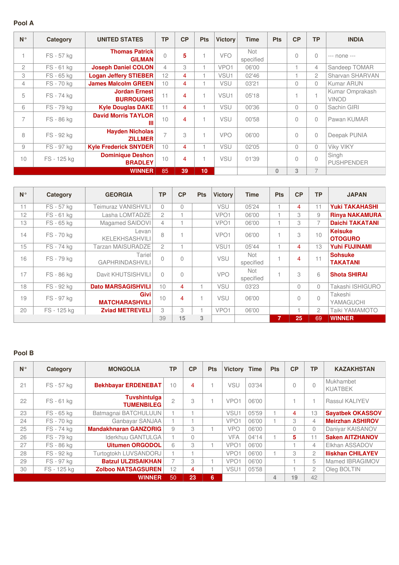#### **Pool A**

| $N^{\circ}$              | Category    | <b>UNITED STATES</b>                      | <b>TP</b>      | CP | <b>Pts</b> | <b>Victory</b>   | <b>Time</b>             | <b>Pts</b>   | CP       | <b>TP</b>      | <b>INDIA</b>                    |
|--------------------------|-------------|-------------------------------------------|----------------|----|------------|------------------|-------------------------|--------------|----------|----------------|---------------------------------|
|                          | FS - 57 kg  | <b>Thomas Patrick</b><br><b>GILMAN</b>    | $\overline{0}$ | 5  |            | <b>VFO</b>       | <b>Not</b><br>specified |              | 0        | $\Omega$       | --- none ---                    |
| $\overline{2}$           | FS-61 kg    | <b>Joseph Daniel COLON</b>                | $\overline{4}$ | 3  |            | VPO <sub>1</sub> | 06'00                   |              |          | 4              | Sandeep TOMAR                   |
| 3                        | FS - 65 kg  | <b>Logan Jeffery STIEBER</b>              | 12             | 4  |            | VSU1             | 02'46                   |              |          | $\overline{2}$ | Sharvan SHARVAN                 |
| $\overline{4}$           | FS-70 kg    | <b>James Malcolm GREEN</b>                | 10             | 4  |            | VSU              | 03'21                   |              | $\Omega$ | $\Omega$       | <b>Kumar ARUN</b>               |
| 5                        | FS-74 kg    | <b>Jordan Ernest</b><br><b>BURROUGHS</b>  | 11             | 4  |            | VSU1             | 05'18                   |              |          |                | Kumar Omprakash<br><b>VINOD</b> |
| 6                        | FS-79 kg    | <b>Kyle Douglas DAKE</b>                  | 11             | 4  |            | VSU              | 00'36                   |              | $\Omega$ | $\Omega$       | Sachin GIRI                     |
| $\overline{\phantom{0}}$ | FS - 86 kg  | <b>David Morris TAYLOR</b><br>Ш           | 10             | 4  |            | <b>VSU</b>       | 00'58                   |              | $\Omega$ | $\Omega$       | Pawan KUMAR                     |
| 8                        | FS - 92 kg  | <b>Hayden Nicholas</b><br><b>ZILLMER</b>  | $\overline{7}$ | 3  |            | <b>VPO</b>       | 06'00                   |              | 0        | $\Omega$       | Deepak PUNIA                    |
| 9                        | FS - 97 kg  | <b>Kyle Frederick SNYDER</b>              | 10             | 4  |            | <b>VSU</b>       | 02'05                   |              | $\Omega$ | $\Omega$       | <b>Viky VIKY</b>                |
| 10                       | FS - 125 kg | <b>Dominique Deshon</b><br><b>BRADLEY</b> | 10             | 4  |            | <b>VSU</b>       | 01'39                   |              | $\Omega$ | $\Omega$       | Singh<br><b>PUSHPENDER</b>      |
|                          |             | <b>WINNER</b>                             | 85             | 39 | 10         |                  |                         | $\mathbf{0}$ | 3        | $\overline{7}$ |                                 |

| $N^{\circ}$ | Category    | <b>GEORGIA</b>                       | <b>TP</b>      | CP        | <b>Pts</b> | <b>Victory</b>   | <b>Time</b>             | <b>Pts</b> | CP       | ТP        | <b>JAPAN</b>                      |
|-------------|-------------|--------------------------------------|----------------|-----------|------------|------------------|-------------------------|------------|----------|-----------|-----------------------------------|
| 11          | FS - 57 kg  | Teimuraz VANISHVILI                  | $\bigcap$      | $\bigcap$ |            | <b>VSU</b>       | 05'24                   |            | 4        | 11        | <b>Yuki TAKAHASHI</b>             |
| 12          | FS-61 kg    | Lasha LOMTADZE                       | $\mathfrak{p}$ |           |            | VPO <sub>1</sub> | 06'00                   |            | 3        | 9         | <b>Rinya NAKAMURA</b>             |
| 13          | FS - 65 kg  | Magamed SAIDOVI                      | 4              |           |            | VPO <sub>1</sub> | 06'00                   |            | 3        | 7         | <b>Daichi TAKATANI</b>            |
| 14          | FS-70 kg    | Levan<br><b>KELEKHSASHVILI</b>       | 8              |           |            | VPO <sub>1</sub> | 06'00                   |            | 3        | 10        | <b>Keisuke</b><br><b>OTOGURO</b>  |
| 15          | FS - 74 kg  | <b>Tarzan MAISURADZE</b>             | $\mathfrak{D}$ |           |            | VSU <sub>1</sub> | 05'44                   |            | 4        | 13        | <b>Yuhi FUJINAMI</b>              |
| 16          | FS - 79 kg  | Tariel<br><b>GAPHRINDASHVILI</b>     | $\bigcap$      | $\cap$    |            | <b>VSU</b>       | Not<br>specified        |            | 4        | 11        | <b>Sohsuke</b><br><b>TAKATANI</b> |
| 17          | FS - 86 kg  | Davit KHUTSISHVILI                   | $\bigcap$      | $\bigcap$ |            | <b>VPO</b>       | <b>Not</b><br>specified |            | 3        | 6         | <b>Shota SHIRAI</b>               |
| 18          | FS - 92 kg  | <b>Dato MARSAGISHVILI</b>            | 10             | 4         |            | <b>VSU</b>       | 03'23                   |            | $\Omega$ | $\Omega$  | Takashi ISHIGURO                  |
| 19          | FS - 97 kg  | <b>Givi</b><br><b>MATCHARASHVILI</b> | 10             | 4         |            | <b>VSU</b>       | 06'00                   |            | $\theta$ | $\bigcap$ | Takeshi<br>YAMAGUCHI              |
| 20          | FS - 125 kg | <b>Zviad METREVELI</b>               | 3              | 3         |            | VPO <sub>1</sub> | 06'00                   |            |          | 2         | Taiki YAMAMOTO                    |
|             |             |                                      | 39             | 15        | 3          |                  |                         | 7          | 25       | 69        | <b>WINNER</b>                     |

| $N^{\circ}$ | Category    | <b>MONGOLIA</b>                          | <b>TP</b>      | CP | <b>Pts</b> | <b>Victory</b>   | <b>Time</b> | <b>Pts</b>     | CP       | <b>TP</b> | <b>KAZAKHSTAN</b>           |
|-------------|-------------|------------------------------------------|----------------|----|------------|------------------|-------------|----------------|----------|-----------|-----------------------------|
| 21          | FS - 57 kg  | <b>Bekhbayar ERDENEBAT</b>               | 10             | 4  |            | <b>VSU</b>       | 03'34       |                | $\Omega$ | $\bigcap$ | Mukhambet<br><b>KUATBEK</b> |
| 22          | FS-61 kg    | <b>Tuvshintulga</b><br><b>TUMENBILEG</b> | $\overline{c}$ | 3  |            | VPO <sub>1</sub> | 06'00       |                |          | 1         | <b>Rassul KALIYEV</b>       |
| 23          | FS - 65 kg  | Batmagnai BATCHULUUN                     |                |    |            | VSU1             | 05'59       |                | 4        | 13        | <b>Sayatbek OKASSOV</b>     |
| 24          | FS-70 kg    | Ganbayar SANJAA                          |                |    |            | VPO <sub>1</sub> | 06'00       |                | 3        | 4         | <b>Meirzhan ASHIROV</b>     |
| 25          | FS-74 kg    | <b>Mandakhnaran GANZORIG</b>             | 9              | 3  |            | <b>VPO</b>       | 06'00       |                | $\Omega$ | $\Omega$  | Daniyar KAISANOV            |
| 26          | FS-79 kg    | Iderkhuu GANTULGA                        |                | 0  |            | <b>VFA</b>       | 04'14       |                | 5        | 11        | <b>Saken AITZHANOV</b>      |
| 27          | FS-86 kg    | <b>Uitumen ORGODOL</b>                   | 6              | 3  |            | VPO <sub>1</sub> | 06'00       |                |          | 4         | Elkhan ASSADOV              |
| 28          | FS - 92 kg  | Turtogtokh LUVSANDORJ                    |                |    |            | VPO <sub>1</sub> | 06'00       |                | 3        | 2         | <b>Iliskhan CHILAYEV</b>    |
| 29          | FS - 97 kg  | <b>Batzul ULZIISAIKHAN</b>               | $\overline{7}$ | 3  |            | VPO <sub>1</sub> | 06'00       |                |          | 5         | Mamed IBRAGIMOV             |
| 30          | FS - 125 kg | <b>Zolboo NATSAGSUREN</b>                | 12             | 4  |            | VSU1             | 05'58       |                |          | 2         | Oleg BOLTIN                 |
|             |             | <b>WINNER</b>                            | 50             | 23 | 6          |                  |             | $\overline{4}$ | 19       | 42        |                             |